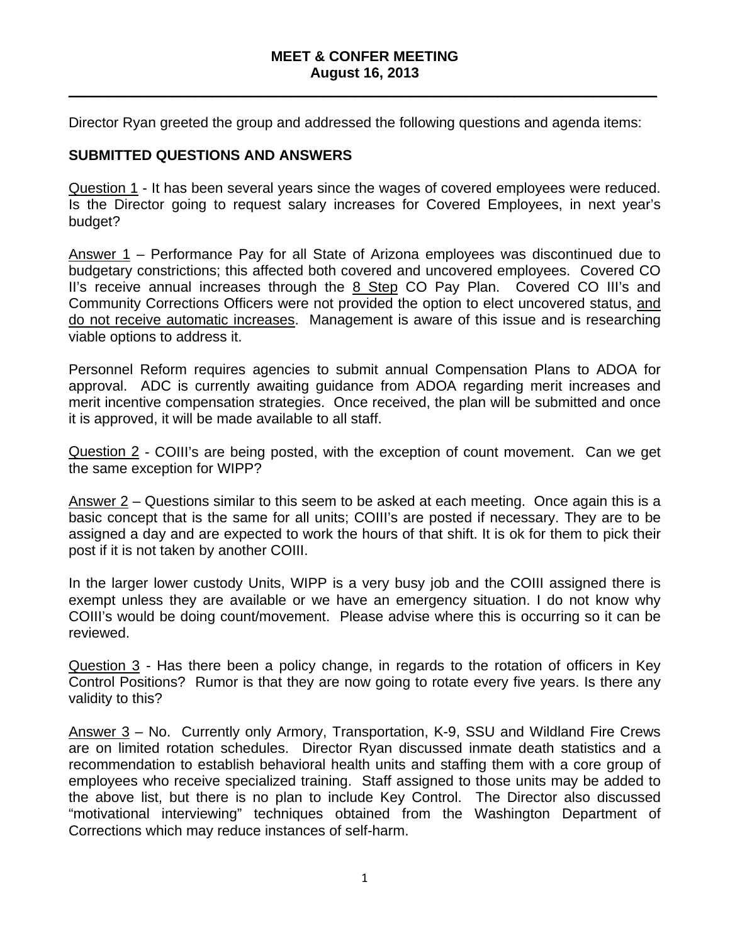#### **MEET & CONFER MEETING August 16, 2013**

 $\_$  ,  $\_$  ,  $\_$  ,  $\_$  ,  $\_$  ,  $\_$  ,  $\_$  ,  $\_$  ,  $\_$  ,  $\_$  ,  $\_$  ,  $\_$  ,  $\_$  ,  $\_$  ,  $\_$  ,  $\_$  ,  $\_$  ,  $\_$  ,  $\_$  ,  $\_$  ,  $\_$  ,  $\_$  ,  $\_$  ,  $\_$  ,  $\_$  ,  $\_$  ,  $\_$  ,  $\_$  ,  $\_$  ,  $\_$  ,  $\_$  ,  $\_$  ,  $\_$  ,  $\_$  ,  $\_$  ,  $\_$  ,  $\_$  ,

Director Ryan greeted the group and addressed the following questions and agenda items:

## **SUBMITTED QUESTIONS AND ANSWERS**

Question 1 - It has been several years since the wages of covered employees were reduced. Is the Director going to request salary increases for Covered Employees, in next year's budget?

Answer 1 – Performance Pay for all State of Arizona employees was discontinued due to budgetary constrictions; this affected both covered and uncovered employees. Covered CO II's receive annual increases through the 8 Step CO Pay Plan. Covered CO III's and Community Corrections Officers were not provided the option to elect uncovered status, and do not receive automatic increases. Management is aware of this issue and is researching viable options to address it.

Personnel Reform requires agencies to submit annual Compensation Plans to ADOA for approval. ADC is currently awaiting guidance from ADOA regarding merit increases and merit incentive compensation strategies. Once received, the plan will be submitted and once it is approved, it will be made available to all staff.

Question 2 - COIII's are being posted, with the exception of count movement. Can we get the same exception for WIPP?

Answer 2 – Questions similar to this seem to be asked at each meeting. Once again this is a basic concept that is the same for all units; COIII's are posted if necessary. They are to be assigned a day and are expected to work the hours of that shift. It is ok for them to pick their post if it is not taken by another COIII.

In the larger lower custody Units, WIPP is a very busy job and the COIII assigned there is exempt unless they are available or we have an emergency situation. I do not know why COIII's would be doing count/movement. Please advise where this is occurring so it can be reviewed.

Question 3 - Has there been a policy change, in regards to the rotation of officers in Key Control Positions? Rumor is that they are now going to rotate every five years. Is there any validity to this?

Answer 3 – No. Currently only Armory, Transportation, K-9, SSU and Wildland Fire Crews are on limited rotation schedules. Director Ryan discussed inmate death statistics and a recommendation to establish behavioral health units and staffing them with a core group of employees who receive specialized training. Staff assigned to those units may be added to the above list, but there is no plan to include Key Control. The Director also discussed "motivational interviewing" techniques obtained from the Washington Department of Corrections which may reduce instances of self-harm.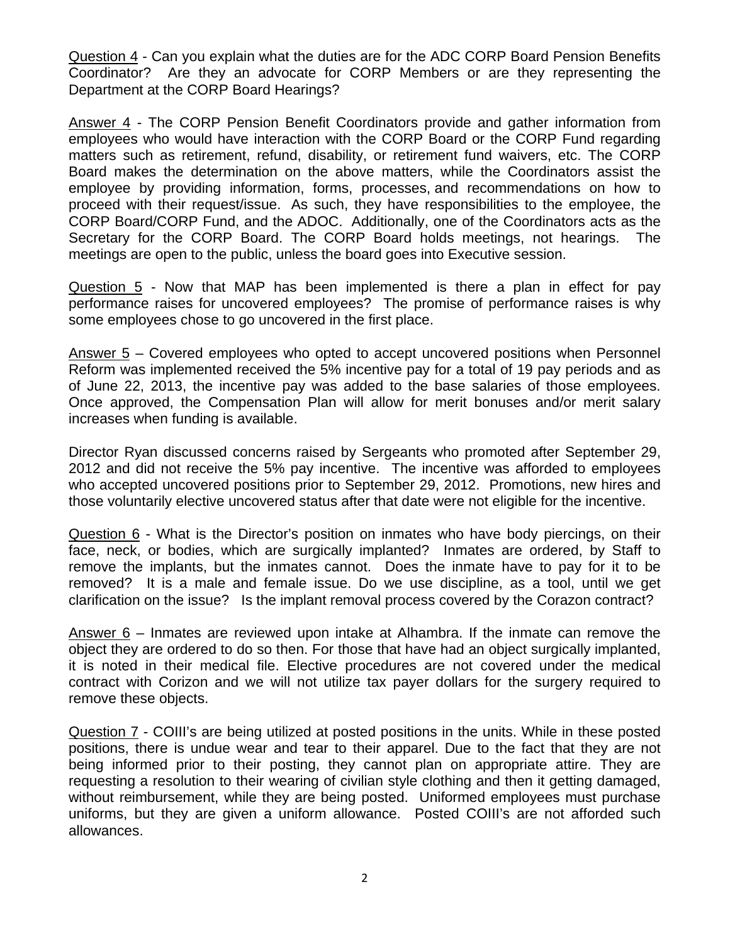Question 4 - Can you explain what the duties are for the ADC CORP Board Pension Benefits Coordinator? Are they an advocate for CORP Members or are they representing the Department at the CORP Board Hearings?

Answer 4 - The CORP Pension Benefit Coordinators provide and gather information from employees who would have interaction with the CORP Board or the CORP Fund regarding matters such as retirement, refund, disability, or retirement fund waivers, etc. The CORP Board makes the determination on the above matters, while the Coordinators assist the employee by providing information, forms, processes, and recommendations on how to proceed with their request/issue. As such, they have responsibilities to the employee, the CORP Board/CORP Fund, and the ADOC. Additionally, one of the Coordinators acts as the Secretary for the CORP Board. The CORP Board holds meetings, not hearings. The meetings are open to the public, unless the board goes into Executive session.

Question 5 - Now that MAP has been implemented is there a plan in effect for pay performance raises for uncovered employees? The promise of performance raises is why some employees chose to go uncovered in the first place.

Answer 5 – Covered employees who opted to accept uncovered positions when Personnel Reform was implemented received the 5% incentive pay for a total of 19 pay periods and as of June 22, 2013, the incentive pay was added to the base salaries of those employees. Once approved, the Compensation Plan will allow for merit bonuses and/or merit salary increases when funding is available.

Director Ryan discussed concerns raised by Sergeants who promoted after September 29, 2012 and did not receive the 5% pay incentive. The incentive was afforded to employees who accepted uncovered positions prior to September 29, 2012. Promotions, new hires and those voluntarily elective uncovered status after that date were not eligible for the incentive.

Question 6 - What is the Director's position on inmates who have body piercings, on their face, neck, or bodies, which are surgically implanted? Inmates are ordered, by Staff to remove the implants, but the inmates cannot. Does the inmate have to pay for it to be removed? It is a male and female issue. Do we use discipline, as a tool, until we get clarification on the issue? Is the implant removal process covered by the Corazon contract?

Answer 6 – Inmates are reviewed upon intake at Alhambra. If the inmate can remove the object they are ordered to do so then. For those that have had an object surgically implanted, it is noted in their medical file. Elective procedures are not covered under the medical contract with Corizon and we will not utilize tax payer dollars for the surgery required to remove these objects.

Question 7 - COIII's are being utilized at posted positions in the units. While in these posted positions, there is undue wear and tear to their apparel. Due to the fact that they are not being informed prior to their posting, they cannot plan on appropriate attire. They are requesting a resolution to their wearing of civilian style clothing and then it getting damaged, without reimbursement, while they are being posted. Uniformed employees must purchase uniforms, but they are given a uniform allowance. Posted COIII's are not afforded such allowances.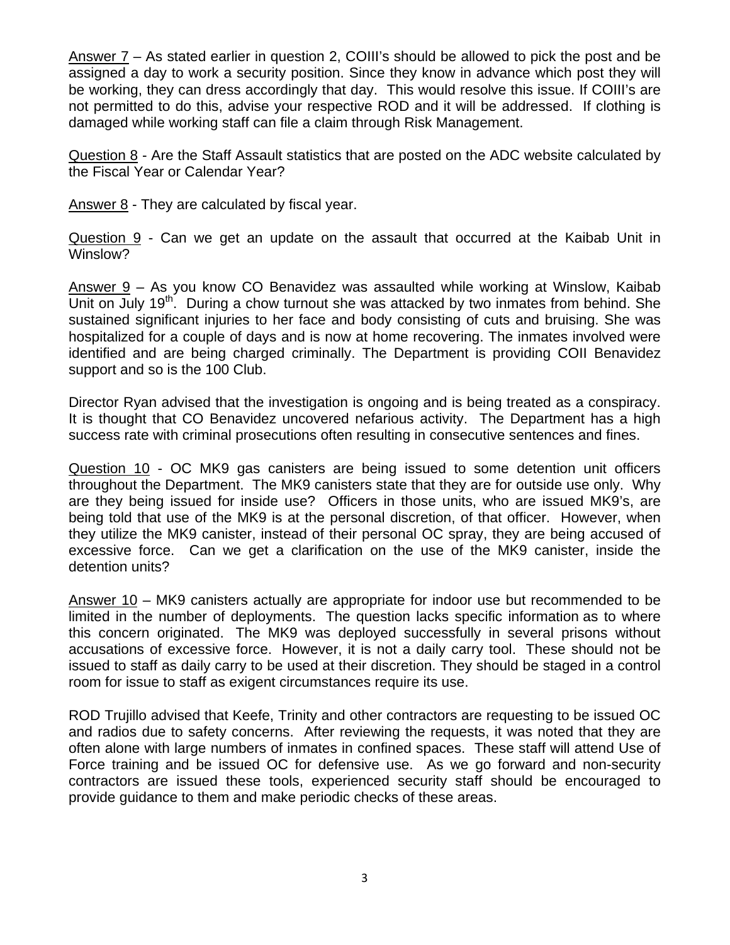Answer 7 – As stated earlier in question 2, COIII's should be allowed to pick the post and be assigned a day to work a security position. Since they know in advance which post they will be working, they can dress accordingly that day. This would resolve this issue. If COIII's are not permitted to do this, advise your respective ROD and it will be addressed. If clothing is damaged while working staff can file a claim through Risk Management.

Question 8 - Are the Staff Assault statistics that are posted on the ADC website calculated by the Fiscal Year or Calendar Year?

Answer 8 - They are calculated by fiscal year.

Question 9 - Can we get an update on the assault that occurred at the Kaibab Unit in Winslow?

Answer 9 – As you know CO Benavidez was assaulted while working at Winslow, Kaibab Unit on July 19<sup>th</sup>. During a chow turnout she was attacked by two inmates from behind. She sustained significant injuries to her face and body consisting of cuts and bruising. She was hospitalized for a couple of days and is now at home recovering. The inmates involved were identified and are being charged criminally. The Department is providing COII Benavidez support and so is the 100 Club.

Director Ryan advised that the investigation is ongoing and is being treated as a conspiracy. It is thought that CO Benavidez uncovered nefarious activity. The Department has a high success rate with criminal prosecutions often resulting in consecutive sentences and fines.

Question 10 - OC MK9 gas canisters are being issued to some detention unit officers throughout the Department. The MK9 canisters state that they are for outside use only. Why are they being issued for inside use? Officers in those units, who are issued MK9's, are being told that use of the MK9 is at the personal discretion, of that officer. However, when they utilize the MK9 canister, instead of their personal OC spray, they are being accused of excessive force. Can we get a clarification on the use of the MK9 canister, inside the detention units?

Answer 10 – MK9 canisters actually are appropriate for indoor use but recommended to be limited in the number of deployments. The question lacks specific information as to where this concern originated. The MK9 was deployed successfully in several prisons without accusations of excessive force. However, it is not a daily carry tool. These should not be issued to staff as daily carry to be used at their discretion. They should be staged in a control room for issue to staff as exigent circumstances require its use.

ROD Trujillo advised that Keefe, Trinity and other contractors are requesting to be issued OC and radios due to safety concerns. After reviewing the requests, it was noted that they are often alone with large numbers of inmates in confined spaces. These staff will attend Use of Force training and be issued OC for defensive use. As we go forward and non-security contractors are issued these tools, experienced security staff should be encouraged to provide guidance to them and make periodic checks of these areas.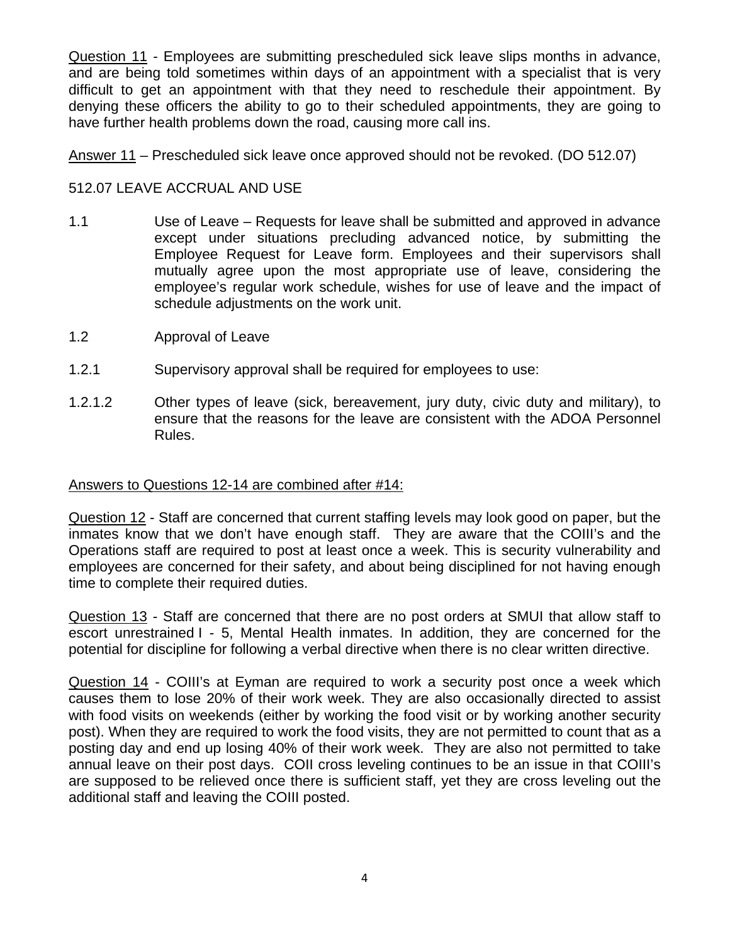Question 11 - Employees are submitting prescheduled sick leave slips months in advance, and are being told sometimes within days of an appointment with a specialist that is very difficult to get an appointment with that they need to reschedule their appointment. By denying these officers the ability to go to their scheduled appointments, they are going to have further health problems down the road, causing more call ins.

Answer 11 – Prescheduled sick leave once approved should not be revoked. (DO 512.07)

# 512.07 LEAVE ACCRUAL AND USE

- 1.1 Use of Leave Requests for leave shall be submitted and approved in advance except under situations precluding advanced notice, by submitting the Employee Request for Leave form. Employees and their supervisors shall mutually agree upon the most appropriate use of leave, considering the employee's regular work schedule, wishes for use of leave and the impact of schedule adjustments on the work unit.
- 1.2 Approval of Leave
- 1.2.1 Supervisory approval shall be required for employees to use:
- 1.2.1.2 Other types of leave (sick, bereavement, jury duty, civic duty and military), to ensure that the reasons for the leave are consistent with the ADOA Personnel Rules.

## Answers to Questions 12-14 are combined after #14:

Question 12 - Staff are concerned that current staffing levels may look good on paper, but the inmates know that we don't have enough staff. They are aware that the COIII's and the Operations staff are required to post at least once a week. This is security vulnerability and employees are concerned for their safety, and about being disciplined for not having enough time to complete their required duties.

Question 13 - Staff are concerned that there are no post orders at SMUI that allow staff to escort unrestrained I - 5, Mental Health inmates. In addition, they are concerned for the potential for discipline for following a verbal directive when there is no clear written directive.

Question 14 - COIII's at Eyman are required to work a security post once a week which causes them to lose 20% of their work week. They are also occasionally directed to assist with food visits on weekends (either by working the food visit or by working another security post). When they are required to work the food visits, they are not permitted to count that as a posting day and end up losing 40% of their work week. They are also not permitted to take annual leave on their post days. COII cross leveling continues to be an issue in that COIII's are supposed to be relieved once there is sufficient staff, yet they are cross leveling out the additional staff and leaving the COIII posted.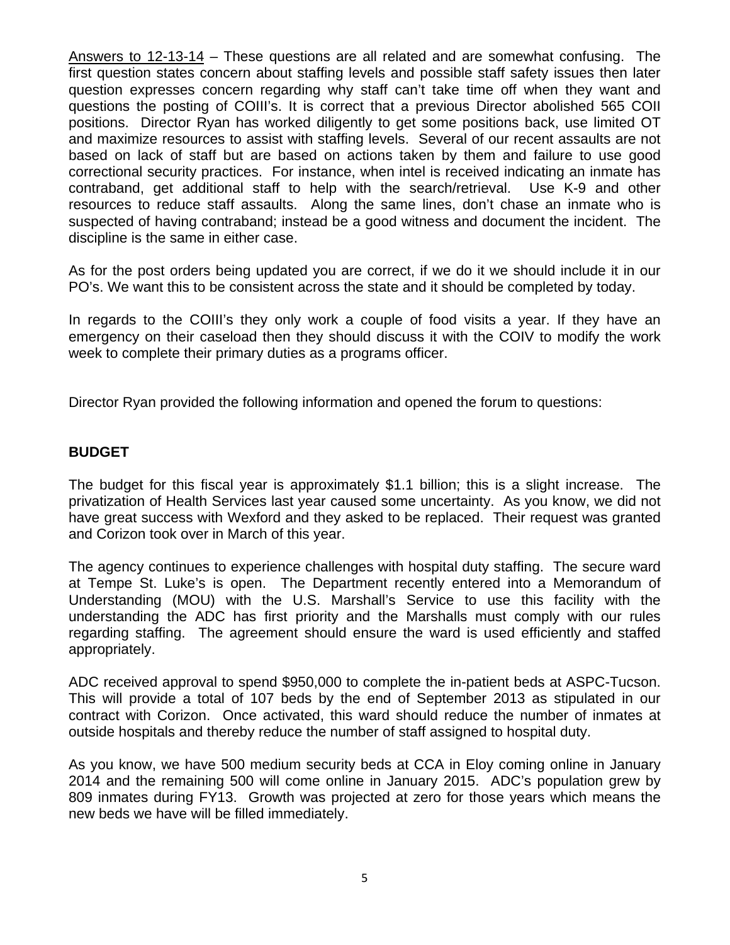Answers to 12-13-14 – These questions are all related and are somewhat confusing. The first question states concern about staffing levels and possible staff safety issues then later question expresses concern regarding why staff can't take time off when they want and questions the posting of COIII's. It is correct that a previous Director abolished 565 COII positions. Director Ryan has worked diligently to get some positions back, use limited OT and maximize resources to assist with staffing levels. Several of our recent assaults are not based on lack of staff but are based on actions taken by them and failure to use good correctional security practices. For instance, when intel is received indicating an inmate has contraband, get additional staff to help with the search/retrieval. Use K-9 and other resources to reduce staff assaults. Along the same lines, don't chase an inmate who is suspected of having contraband; instead be a good witness and document the incident. The discipline is the same in either case.

As for the post orders being updated you are correct, if we do it we should include it in our PO's. We want this to be consistent across the state and it should be completed by today.

In regards to the COIII's they only work a couple of food visits a year. If they have an emergency on their caseload then they should discuss it with the COIV to modify the work week to complete their primary duties as a programs officer.

Director Ryan provided the following information and opened the forum to questions:

## **BUDGET**

The budget for this fiscal year is approximately \$1.1 billion; this is a slight increase. The privatization of Health Services last year caused some uncertainty. As you know, we did not have great success with Wexford and they asked to be replaced. Their request was granted and Corizon took over in March of this year.

The agency continues to experience challenges with hospital duty staffing. The secure ward at Tempe St. Luke's is open. The Department recently entered into a Memorandum of Understanding (MOU) with the U.S. Marshall's Service to use this facility with the understanding the ADC has first priority and the Marshalls must comply with our rules regarding staffing. The agreement should ensure the ward is used efficiently and staffed appropriately.

ADC received approval to spend \$950,000 to complete the in-patient beds at ASPC-Tucson. This will provide a total of 107 beds by the end of September 2013 as stipulated in our contract with Corizon. Once activated, this ward should reduce the number of inmates at outside hospitals and thereby reduce the number of staff assigned to hospital duty.

As you know, we have 500 medium security beds at CCA in Eloy coming online in January 2014 and the remaining 500 will come online in January 2015. ADC's population grew by 809 inmates during FY13. Growth was projected at zero for those years which means the new beds we have will be filled immediately.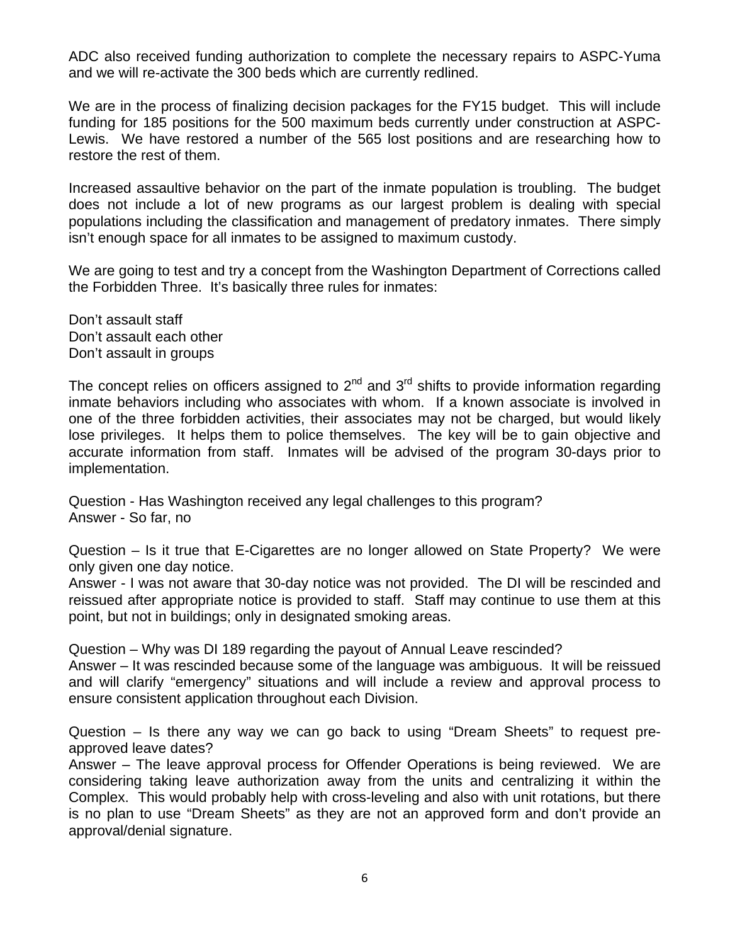ADC also received funding authorization to complete the necessary repairs to ASPC-Yuma and we will re-activate the 300 beds which are currently redlined.

We are in the process of finalizing decision packages for the FY15 budget. This will include funding for 185 positions for the 500 maximum beds currently under construction at ASPC-Lewis. We have restored a number of the 565 lost positions and are researching how to restore the rest of them.

Increased assaultive behavior on the part of the inmate population is troubling. The budget does not include a lot of new programs as our largest problem is dealing with special populations including the classification and management of predatory inmates. There simply isn't enough space for all inmates to be assigned to maximum custody.

We are going to test and try a concept from the Washington Department of Corrections called the Forbidden Three. It's basically three rules for inmates:

Don't assault staff Don't assault each other Don't assault in groups

The concept relies on officers assigned to  $2^{nd}$  and  $3^{rd}$  shifts to provide information regarding inmate behaviors including who associates with whom. If a known associate is involved in one of the three forbidden activities, their associates may not be charged, but would likely lose privileges. It helps them to police themselves. The key will be to gain objective and accurate information from staff. Inmates will be advised of the program 30-days prior to implementation.

Question - Has Washington received any legal challenges to this program? Answer - So far, no

Question – Is it true that E-Cigarettes are no longer allowed on State Property? We were only given one day notice.

Answer - I was not aware that 30-day notice was not provided. The DI will be rescinded and reissued after appropriate notice is provided to staff. Staff may continue to use them at this point, but not in buildings; only in designated smoking areas.

Question – Why was DI 189 regarding the payout of Annual Leave rescinded?

Answer – It was rescinded because some of the language was ambiguous. It will be reissued and will clarify "emergency" situations and will include a review and approval process to ensure consistent application throughout each Division.

Question – Is there any way we can go back to using "Dream Sheets" to request preapproved leave dates?

Answer – The leave approval process for Offender Operations is being reviewed. We are considering taking leave authorization away from the units and centralizing it within the Complex. This would probably help with cross-leveling and also with unit rotations, but there is no plan to use "Dream Sheets" as they are not an approved form and don't provide an approval/denial signature.